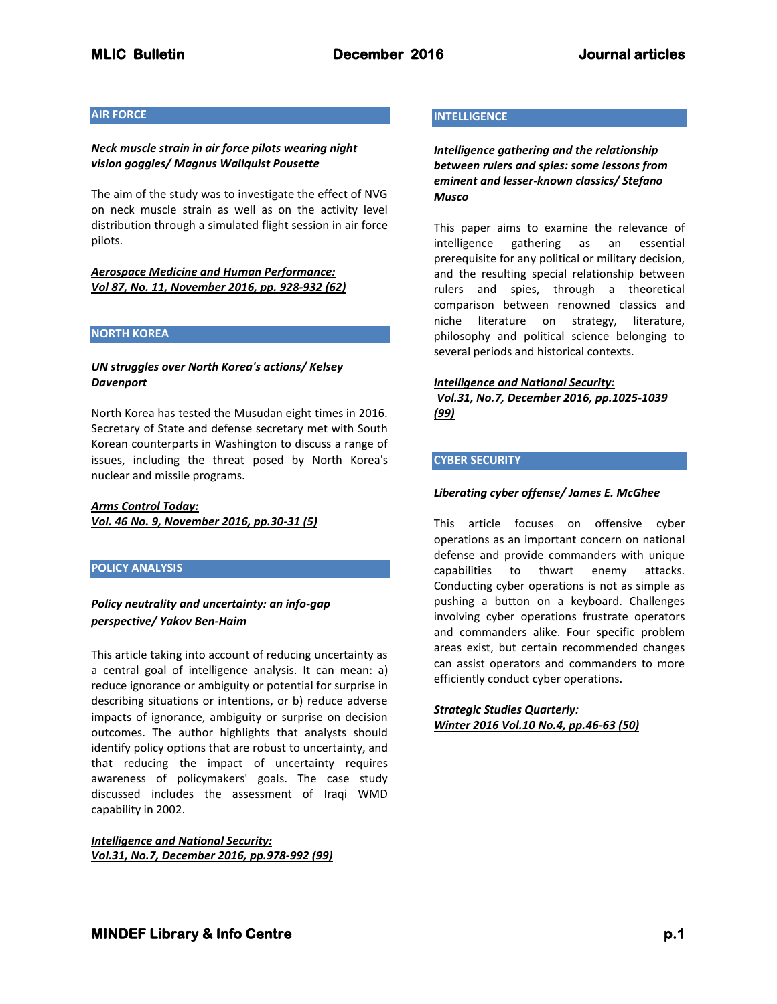## **AIR FORCE**

## *Neck muscle strain in air force pilots wearing night vision goggles/ Magnus Wallquist Pousette*

The aim of the study was to investigate the effect of NVG on neck muscle strain as well as on the activity level distribution through a simulated flight session in air force pilots.

# *Aerospace Medicine and Human Performance: Vol 87, No. 11, November 2016, pp. 928-932 (62)*

#### **NORTH KOREA**

## *UN struggles over North Korea's actions/ Kelsey Davenport*

North Korea has tested the Musudan eight times in 2016. Secretary of State and defense secretary met with South Korean counterparts in Washington to discuss a range of issues, including the threat posed by North Korea's nuclear and missile programs.

# *Arms Control Today: Vol. 46 No. 9, November 2016, pp.30-31 (5)*

## **POLICY ANALYSIS**

# *Policy neutrality and uncertainty: an info-gap perspective/ Yakov Ben-Haim*

This article taking into account of reducing uncertainty as a central goal of intelligence analysis. It can mean: a) reduce ignorance or ambiguity or potential for surprise in describing situations or intentions, or b) reduce adverse impacts of ignorance, ambiguity or surprise on decision outcomes. The author highlights that analysts should identify policy options that are robust to uncertainty, and that reducing the impact of uncertainty requires awareness of policymakers' goals. The case study discussed includes the assessment of Iraqi WMD capability in 2002.

*Intelligence and National Security: Vol.31, No.7, December 2016, pp.978-992 (99)*

## **INTELLIGENCE**

*Intelligence gathering and the relationship between rulers and spies: some lessons from eminent and lesser-known classics/ Stefano Musco*

This paper aims to examine the relevance of intelligence gathering as an essential prerequisite for any political or military decision, and the resulting special relationship between rulers and spies, through a theoretical comparison between renowned classics and niche literature on strategy, literature, philosophy and political science belonging to several periods and historical contexts.

#### *Intelligence and National Security:*

*Vol.31, No.7, December 2016, pp.1025-1039 (99)*

# **CYBER SECURITY**

## *Liberating cyber offense/ James E. McGhee*

This article focuses on offensive cyber operations as an important concern on national defense and provide commanders with unique capabilities to thwart enemy attacks. Conducting cyber operations is not as simple as pushing a button on a keyboard. Challenges involving cyber operations frustrate operators and commanders alike. Four specific problem areas exist, but certain recommended changes can assist operators and commanders to more efficiently conduct cyber operations.

*Strategic Studies Quarterly: Winter 2016 Vol.10 No.4, pp.46-63 (50)*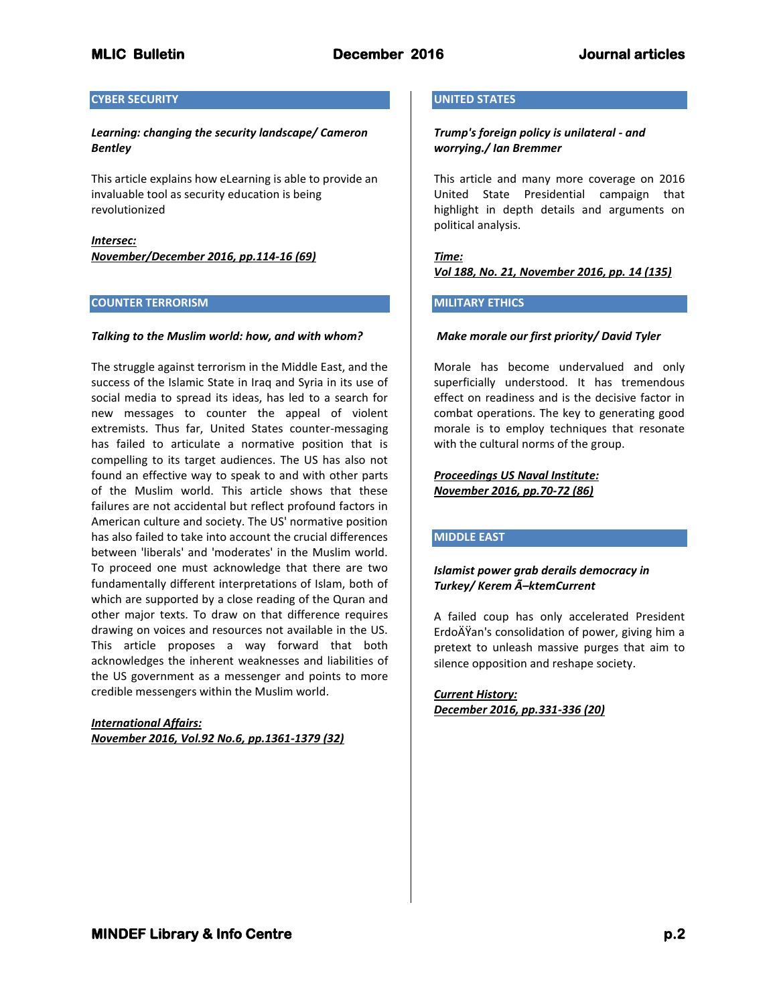## **CYBER SECURITY**

## *Learning: changing the security landscape/ Cameron Bentley*

This article explains how eLearning is able to provide an invaluable tool as security education is being revolutionized

*Intersec: November/December 2016, pp.114-16 (69)*

## **COUNTER TERRORISM**

## *Talking to the Muslim world: how, and with whom?*

The struggle against terrorism in the Middle East, and the success of the Islamic State in Iraq and Syria in its use of social media to spread its ideas, has led to a search for new messages to counter the appeal of violent extremists. Thus far, United States counter-messaging has failed to articulate a normative position that is compelling to its target audiences. The US has also not found an effective way to speak to and with other parts of the Muslim world. This article shows that these failures are not accidental but reflect profound factors in American culture and society. The US' normative position has also failed to take into account the crucial differences between 'liberals' and 'moderates' in the Muslim world. To proceed one must acknowledge that there are two fundamentally different interpretations of Islam, both of which are supported by a close reading of the Quran and other major texts. To draw on that difference requires drawing on voices and resources not available in the US. This article proposes a way forward that both acknowledges the inherent weaknesses and liabilities of the US government as a messenger and points to more credible messengers within the Muslim world.

*International Affairs: November 2016, Vol.92 No.6, pp.1361-1379 (32)*

## **UNITED STATES**

## *Trump's foreign policy is unilateral - and worrying./ Ian Bremmer*

This article and many more coverage on 2016 United State Presidential campaign that highlight in depth details and arguments on political analysis.

*Time: Vol 188, No. 21, November 2016, pp. 14 (135)*

## **MILITARY ETHICS**

## *Make morale our first priority/ David Tyler*

Morale has become undervalued and only superficially understood. It has tremendous effect on readiness and is the decisive factor in combat operations. The key to generating good morale is to employ techniques that resonate with the cultural norms of the group.

*Proceedings US Naval Institute: November 2016, pp.70-72 (86)*

# **MIDDLE EAST**

# *Islamist power grab derails democracy in Turkey/ Kerem Ã–ktemCurrent*

A failed coup has only accelerated President ErdoÄŸan's consolidation of power, giving him a pretext to unleash massive purges that aim to silence opposition and reshape society.

*Current History: December 2016, pp.331-336 (20)*